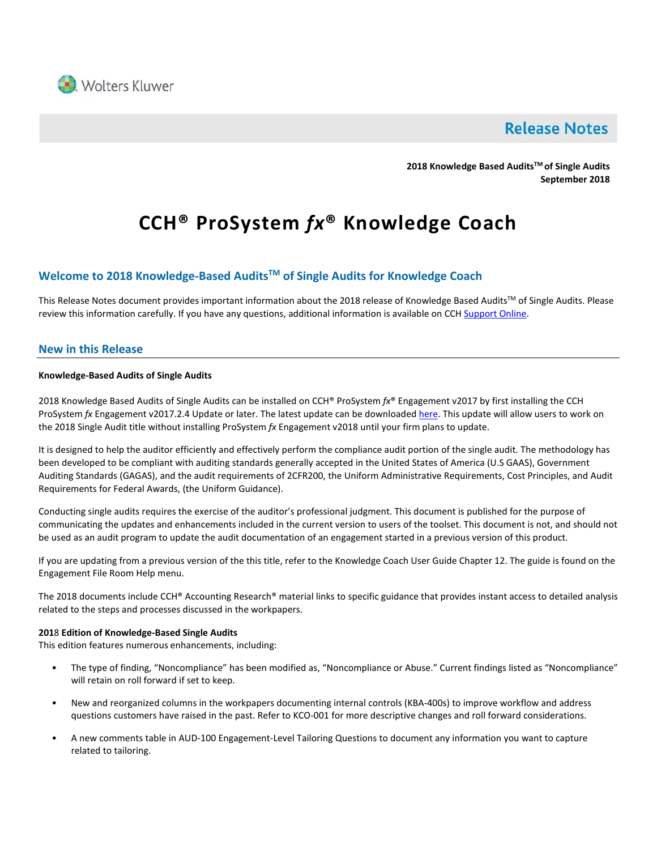

# **Release Notes**

**2018 Knowledge Based AuditsTM of Single Audits September 2018**

# **CCH® ProSystem** *fx***® Knowledge Coach**

# **Welcome to 2018 Knowledge-Based AuditsTM of Single Audits for Knowledge Coach**

This Release Notes document provides important information about the 2018 release of Knowledge Based Audits™ of Single Audits. Please review this information carefully. If you have any questions, additional information is available on CC[H Support Online.](http://support.cch.com/productsupport/)

# **New in this Release**

#### **Knowledge-Based Audits of Single Audits**

2018 Knowledge Based Audits of Single Audits can be installed on CCH® ProSystem *fx*® Engagement v2017 by first installing the CCH ProSystem *fx* Engagement v2017.2.4 Update or later. The latest update can be downloade[d here.](https://support.cch.com/updates/Engagement/release2017/release2017.aspx) This update will allow users to work on the 2018 Single Audit title without installing ProSystem *fx* Engagement v2018 until your firm plans to update.

It is designed to help the auditor efficiently and effectively perform the compliance audit portion of the single audit. The methodology has been developed to be compliant with auditing standards generally accepted in the United States of America (U.S GAAS), Government Auditing Standards (GAGAS), and the audit requirements of 2CFR200, the Uniform Administrative Requirements, Cost Principles, and Audit Requirements for Federal Awards, (the Uniform Guidance).

Conducting single audits requires the exercise of the auditor's professional judgment. This document is published for the purpose of communicating the updates and enhancements included in the current version to users of the toolset. This document is not, and should not be used as an audit program to update the audit documentation of an engagement started in a previous version of this product.

If you are updating from a previous version of the this title, refer to the Knowledge Coach User Guide Chapter 12. The guide is found on the Engagement File Room Help menu.

The 2018 documents include CCH® Accounting Research® material links to specific guidance that provides instant access to detailed analysis related to the steps and processes discussed in the workpapers.

#### **201**8 **Edition of Knowledge-Based Single Audits**

This edition features numerous enhancements, including:

- The type of finding, "Noncompliance" has been modified as, "Noncompliance or Abuse." Current findings listed as "Noncompliance" will retain on roll forward if set to keep.
- New and reorganized columns in the workpapers documenting internal controls (KBA-400s) to improve workflow and address questions customers have raised in the past. Refer to KCO-001 for more descriptive changes and roll forward considerations.
- A new comments table in AUD-100 Engagement-Level Tailoring Questions to document any information you want to capture related to tailoring.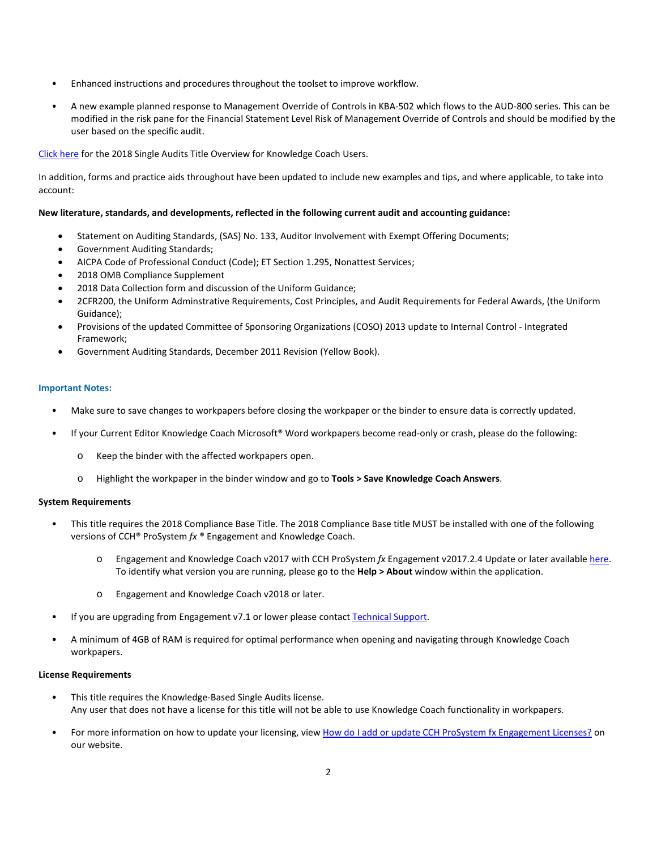- Enhanced instructions and procedures throughout the toolset to improve workflow.
- A new example planned response to Management Override of Controls in KBA-502 which flows to the AUD-800 series. This can be modified in the risk pane for the Financial Statement Level Risk of Management Override of Controls and should be modified by the user based on the specific audit.

### [Click here](http://support.cch.com/updates/KnowledgeCoach/pdf/guides_tab/2018%20Single%20Audits%20Title%20Overview%20for%20Knowledge%20Coach%20Users.pdf) for the 2018 Single Audits Title Overview for Knowledge Coach Users.

In addition, forms and practice aids throughout have been updated to include new examples and tips, and where applicable, to take into account:

#### **New literature, standards, and developments, reflected in the following current audit and accounting guidance:**

- Statement on Auditing Standards, (SAS) No. 133, Auditor Involvement with Exempt Offering Documents;
- Government Auditing Standards;
- AICPA Code of Professional Conduct (Code); ET Section 1.295, Nonattest Services;
- 2018 OMB Compliance Supplement
- 2018 Data Collection form and discussion of the Uniform Guidance;
- 2CFR200, the Uniform Adminstrative Requirements, Cost Principles, and Audit Requirements for Federal Awards, (the Uniform Guidance);
- Provisions of the updated Committee of Sponsoring Organizations (COSO) 2013 update to Internal Control Integrated Framework;
- Government Auditing Standards, December 2011 Revision (Yellow Book).

#### **Important Notes:**

- Make sure to save changes to workpapers before closing the workpaper or the binder to ensure data is correctly updated.
- If your Current Editor Knowledge Coach Microsoft® Word workpapers become read-only or crash, please do the following:
	- o Keep the binder with the affected workpapers open.
	- o Highlight the workpaper in the binder window and go to **Tools > Save Knowledge Coach Answers**.

#### **System Requirements**

- This title requires the 2018 Compliance Base Title. The 2018 Compliance Base title MUST be installed with one of the following versions of CCH® ProSystem *fx* ® Engagement and Knowledge Coach.
	- o Engagement and Knowledge Coach v2017 with CCH ProSystem *fx* Engagement v2017.2.4 Update or later available [here.](https://support.cch.com/updates/Engagement/release2017/release2017.aspx) To identify what version you are running, please go to the **Help > About** window within the application.
	- o Engagement and Knowledge Coach v2018 or later.
- If you are upgrading from Engagement v7.1 or lower please contac[t Technical Support.](https://support.cch.com/contact)
- A minimum of 4GB of RAM is required for optimal performance when opening and navigating through Knowledge Coach workpapers.

#### **License Requirements**

- This title requires the Knowledge-Based Single Audits license. Any user that does not have a license for this title will not be able to use Knowledge Coach functionality in workpapers.
- For more information on how to update your licensing, view [How do I add or update CCH ProSystem fx Engagement Licenses?](https://support.cch.com/kb/solution.aspx/sw3937) on our website.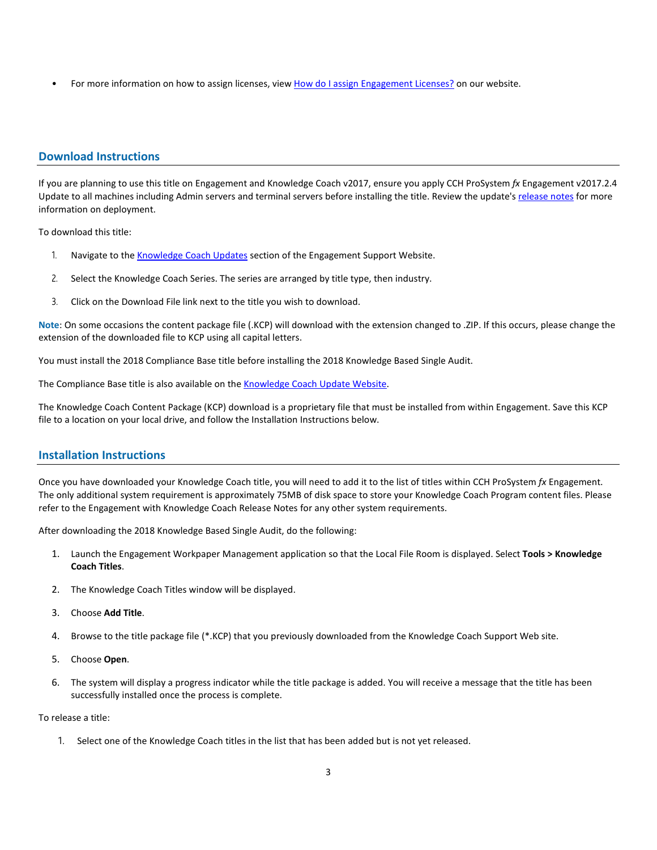For more information on how to assign licenses, view [How do I assign Engagement Licenses?](https://support.cch.com/kb/solution.aspx/sw3943) on our website.

# **Download Instructions**

If you are planning to use this title on Engagement and Knowledge Coach v2017, ensure you apply CCH ProSystem *fx* Engagement v2017.2.4 Update to all machines including Admin servers and terminal servers before installing the title. Review the update's [release notes](https://support.cch.com/updates/Engagement/patch75/ENG%202017.2.4%20Release%20Notes.pdf) for more information on deployment.

To download this title:

- 1. Navigate to the [Knowledge Coach Updates](http://support.cch.com/updates/KnowledgeCoach) section of the Engagement Support Website.
- 2. Select the Knowledge Coach Series. The series are arranged by title type, then industry.
- 3. Click on the Download File link next to the title you wish to download.

**Note**: On some occasions the content package file (.KCP) will download with the extension changed to .ZIP. If this occurs, please change the extension of the downloaded file to KCP using all capital letters.

You must install the 2018 Compliance Base title before installing the 2018 Knowledge Based Single Audit.

The Compliance Base title is also available on th[e Knowledge Coach Update Website.](http://support.cch.com/updates/KnowledgeCoach)

The Knowledge Coach Content Package (KCP) download is a proprietary file that must be installed from within Engagement. Save this KCP file to a location on your local drive, and follow the Installation Instructions below.

# **Installation Instructions**

Once you have downloaded your Knowledge Coach title, you will need to add it to the list of titles within CCH ProSystem *fx* Engagement. The only additional system requirement is approximately 75MB of disk space to store your Knowledge Coach Program content files. Please refer to the Engagement with Knowledge Coach Release Notes for any other system requirements.

After downloading the 2018 Knowledge Based Single Audit, do the following:

- 1. Launch the Engagement Workpaper Management application so that the Local File Room is displayed. Select **Tools > Knowledge Coach Titles**.
- 2. The Knowledge Coach Titles window will be displayed.
- 3. Choose **Add Title**.
- 4. Browse to the title package file (\*.KCP) that you previously downloaded from the Knowledge Coach Support Web site.
- 5. Choose **Open**.
- 6. The system will display a progress indicator while the title package is added. You will receive a message that the title has been successfully installed once the process is complete.

#### To release a title:

1. Select one of the Knowledge Coach titles in the list that has been added but is not yet released.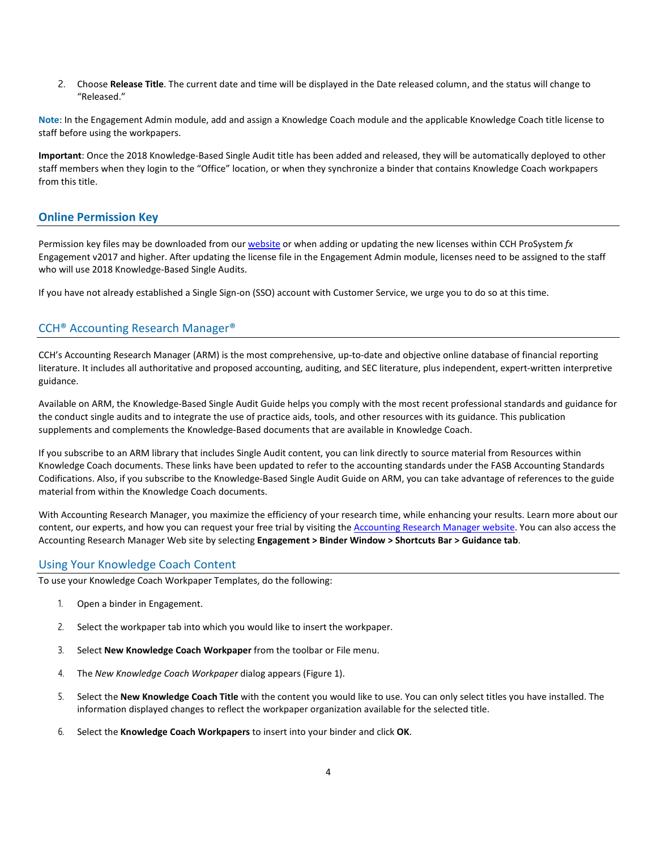2. Choose **Release Title**. The current date and time will be displayed in the Date released column, and the status will change to "Released."

**Note**: In the Engagement Admin module, add and assign a Knowledge Coach module and the applicable Knowledge Coach title license to staff before using the workpapers.

**Important**: Once the 2018 Knowledge-Based Single Audit title has been added and released, they will be automatically deployed to other staff members when they login to the "Office" location, or when they synchronize a binder that contains Knowledge Coach workpapers from this title.

# **Online Permission Key**

Permission key files may be downloaded from ou[r website](https://prosystemfxsupport.tax.cchgroup.com/permkey/download.aspx) or when adding or updating the new licenses within CCH ProSystem *fx* Engagement v2017 and higher. After updating the license file in the Engagement Admin module, licenses need to be assigned to the staff who will use 2018 Knowledge-Based Single Audits.

If you have not already established a Single Sign-on (SSO) account with Customer Service, we urge you to do so at this time.

# CCH® Accounting Research Manager®

CCH's Accounting Research Manager (ARM) is the most comprehensive, up-to-date and objective online database of financial reporting literature. It includes all authoritative and proposed accounting, auditing, and SEC literature, plus independent, expert-written interpretive guidance.

Available on ARM, the Knowledge-Based Single Audit Guide helps you comply with the most recent professional standards and guidance for the conduct single audits and to integrate the use of practice aids, tools, and other resources with its guidance. This publication supplements and complements the Knowledge-Based documents that are available in Knowledge Coach.

If you subscribe to an ARM library that includes Single Audit content, you can link directly to source material from Resources within Knowledge Coach documents. These links have been updated to refer to the accounting standards under the FASB Accounting Standards Codifications. Also, if you subscribe to the Knowledge-Based Single Audit Guide on ARM, you can take advantage of references to the guide material from within the Knowledge Coach documents.

With Accounting Research Manager, you maximize the efficiency of your research time, while enhancing your results. Learn more about our content, our experts, and how you can request your free trial by visiting the **Accounting Research Manager website**. You can also access the Accounting Research Manager Web site by selecting **Engagement > Binder Window > Shortcuts Bar > Guidance tab**.

# Using Your Knowledge Coach Content

To use your Knowledge Coach Workpaper Templates, do the following:

- 1. Open a binder in Engagement.
- 2. Select the workpaper tab into which you would like to insert the workpaper.
- 3. Select **New Knowledge Coach Workpaper** from the toolbar or File menu.
- 4. The *New Knowledge Coach Workpaper* dialog appears (Figure 1).
- 5. Select the **New Knowledge Coach Title** with the content you would like to use. You can only select titles you have installed. The information displayed changes to reflect the workpaper organization available for the selected title.
- 6. Select the **Knowledge Coach Workpapers** to insert into your binder and click **OK**.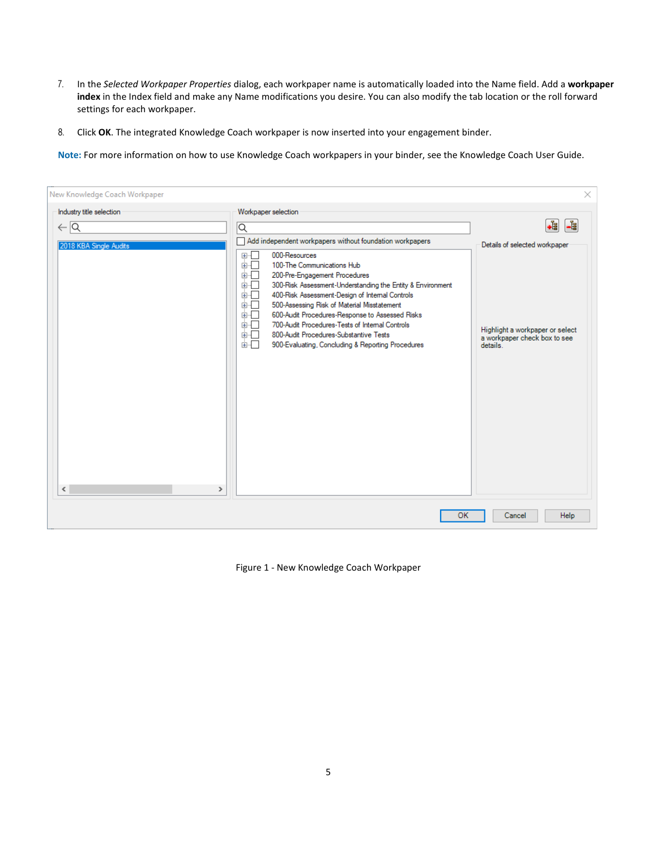- 7. In the *Selected Workpaper Properties* dialog, each workpaper name is automatically loaded into the Name field. Add a **workpaper index** in the Index field and make any Name modifications you desire. You can also modify the tab location or the roll forward settings for each workpaper.
- 8. Click **OK**. The integrated Knowledge Coach workpaper is now inserted into your engagement binder.

**Note:** For more information on how to use Knowledge Coach workpapers in your binder, see the Knowledge Coach User Guide.

| New Knowledge Coach Workpaper                                    |                                                                                                                                                                                                                                                                                                                                                                                                                                                                                                                                                                           | ×                                                                                                                        |
|------------------------------------------------------------------|---------------------------------------------------------------------------------------------------------------------------------------------------------------------------------------------------------------------------------------------------------------------------------------------------------------------------------------------------------------------------------------------------------------------------------------------------------------------------------------------------------------------------------------------------------------------------|--------------------------------------------------------------------------------------------------------------------------|
| Industry title selection<br>$\leftarrow$ $\overline{\mathsf{Q}}$ | Workpaper selection<br>$\overline{\mathsf{Q}}$                                                                                                                                                                                                                                                                                                                                                                                                                                                                                                                            | +È<br><b>Le</b>                                                                                                          |
| 2018 KBA Single Audits<br>$\checkmark$<br>$\rightarrow$          | Add independent workpapers without foundation workpapers<br>000-Resources<br>田…<br>面口<br>100-The Communications Hub<br>面板<br>200-Pre-Engagement Procedures<br>画一<br>300-Risk Assessment-Understanding the Entity & Environment<br>400-Risk Assessment-Design of Internal Controls<br>面一<br>面一<br>500-Assessing Risk of Material Misstatement<br>面目<br>600-Audit Procedures-Response to Assessed Risks<br>700-Audit Procedures-Tests of Internal Controls<br>面石<br>面口<br>800-Audit Procedures-Substantive Tests<br>面目<br>900-Evaluating, Concluding & Reporting Procedures | Details of selected workpaper<br>Highlight a workpaper or select<br>a workpaper check box to see<br>details <sup>1</sup> |
|                                                                  | OK                                                                                                                                                                                                                                                                                                                                                                                                                                                                                                                                                                        | Help<br>Cancel                                                                                                           |

Figure 1 - New Knowledge Coach Workpaper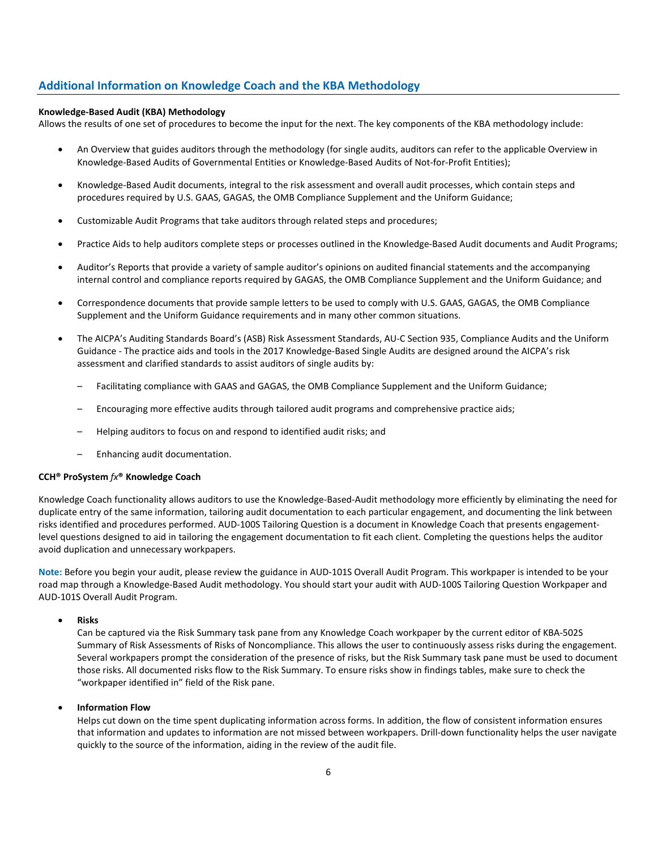# **Additional Information on Knowledge Coach and the KBA Methodology**

#### **Knowledge-Based Audit (KBA) Methodology**

Allows the results of one set of procedures to become the input for the next. The key components of the KBA methodology include:

- An Overview that guides auditors through the methodology (for single audits, auditors can refer to the applicable Overview in Knowledge-Based Audits of Governmental Entities or Knowledge-Based Audits of Not-for-Profit Entities);
- Knowledge-Based Audit documents, integral to the risk assessment and overall audit processes, which contain steps and procedures required by U.S. GAAS, GAGAS, the OMB Compliance Supplement and the Uniform Guidance;
- Customizable Audit Programs that take auditors through related steps and procedures;
- Practice Aids to help auditors complete steps or processes outlined in the Knowledge-Based Audit documents and Audit Programs;
- Auditor's Reports that provide a variety of sample auditor's opinions on audited financial statements and the accompanying internal control and compliance reports required by GAGAS, the OMB Compliance Supplement and the Uniform Guidance; and
- Correspondence documents that provide sample letters to be used to comply with U.S. GAAS, GAGAS, the OMB Compliance Supplement and the Uniform Guidance requirements and in many other common situations.
- The AICPA's Auditing Standards Board's (ASB) Risk Assessment Standards, AU-C Section 935, Compliance Audits and the Uniform Guidance - The practice aids and tools in the 2017 Knowledge-Based Single Audits are designed around the AICPA's risk assessment and clarified standards to assist auditors of single audits by:
	- Facilitating compliance with GAAS and GAGAS, the OMB Compliance Supplement and the Uniform Guidance;
	- Encouraging more effective audits through tailored audit programs and comprehensive practice aids;
	- Helping auditors to focus on and respond to identified audit risks; and
	- Enhancing audit documentation.

#### **CCH® ProSystem** *fx***® Knowledge Coach**

Knowledge Coach functionality allows auditors to use the Knowledge-Based-Audit methodology more efficiently by eliminating the need for duplicate entry of the same information, tailoring audit documentation to each particular engagement, and documenting the link between risks identified and procedures performed. AUD-100S Tailoring Question is a document in Knowledge Coach that presents engagementlevel questions designed to aid in tailoring the engagement documentation to fit each client. Completing the questions helps the auditor avoid duplication and unnecessary workpapers.

**Note:** Before you begin your audit, please review the guidance in AUD-101S Overall Audit Program. This workpaper is intended to be your road map through a Knowledge-Based Audit methodology. You should start your audit with AUD-100S Tailoring Question Workpaper and AUD-101S Overall Audit Program.

• **Risks**

Can be captured via the Risk Summary task pane from any Knowledge Coach workpaper by the current editor of KBA-502S Summary of Risk Assessments of Risks of Noncompliance. This allows the user to continuously assess risks during the engagement. Several workpapers prompt the consideration of the presence of risks, but the Risk Summary task pane must be used to document those risks. All documented risks flow to the Risk Summary. To ensure risks show in findings tables, make sure to check the "workpaper identified in" field of the Risk pane.

• **Information Flow** 

Helps cut down on the time spent duplicating information across forms. In addition, the flow of consistent information ensures that information and updates to information are not missed between workpapers. Drill-down functionality helps the user navigate quickly to the source of the information, aiding in the review of the audit file.